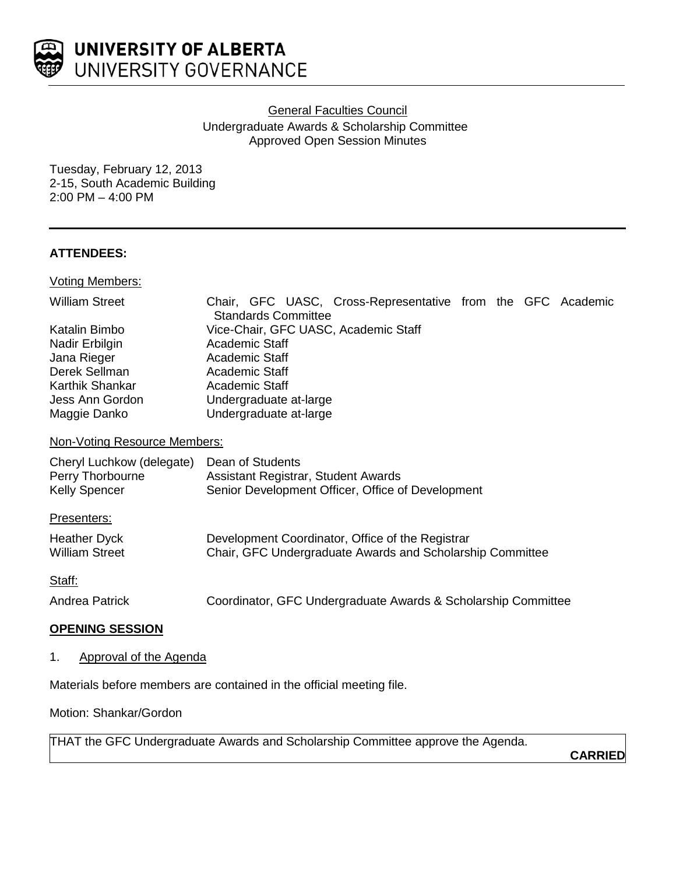

General Faculties Council

Undergraduate Awards & Scholarship Committee Approved Open Session Minutes

Tuesday, February 12, 2013 2-15, South Academic Building 2:00 PM – 4:00 PM

# **ATTENDEES:**

Voting Members:

| <b>William Street</b> |                | <b>Standards Committee</b> | Chair, GFC UASC, Cross-Representative from the GFC Academic |  |  |
|-----------------------|----------------|----------------------------|-------------------------------------------------------------|--|--|
| Katalin Bimbo         |                |                            | Vice-Chair, GFC UASC, Academic Staff                        |  |  |
| Nadir Erbilgin        | Academic Staff |                            |                                                             |  |  |
| Jana Rieger           | Academic Staff |                            |                                                             |  |  |
| Derek Sellman         | Academic Staff |                            |                                                             |  |  |
| Karthik Shankar       | Academic Staff |                            |                                                             |  |  |
| Jess Ann Gordon       |                | Undergraduate at-large     |                                                             |  |  |
| Maggie Danko          |                | Undergraduate at-large     |                                                             |  |  |

## Non-Voting Resource Members:

| Cheryl Luchkow (delegate) | Dean of Students                                  |
|---------------------------|---------------------------------------------------|
| Perry Thorbourne          | Assistant Registrar, Student Awards               |
| <b>Kelly Spencer</b>      | Senior Development Officer, Office of Development |

Presenters:

| <b>Heather Dyck</b>   | Development Coordinator, Office of the Registrar          |
|-----------------------|-----------------------------------------------------------|
| <b>William Street</b> | Chair, GFC Undergraduate Awards and Scholarship Committee |

Staff:

Andrea Patrick Coordinator, GFC Undergraduate Awards & Scholarship Committee

# **OPENING SESSION**

1. Approval of the Agenda

Materials before members are contained in the official meeting file.

Motion: Shankar/Gordon

THAT the GFC Undergraduate Awards and Scholarship Committee approve the Agenda.

**CARRIED**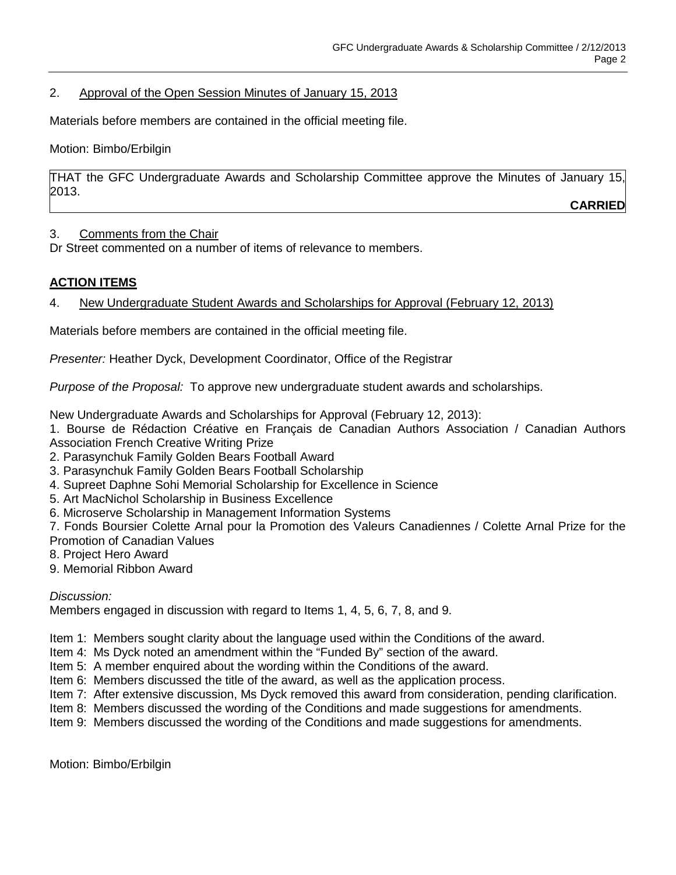## 2. Approval of the Open Session Minutes of January 15, 2013

Materials before members are contained in the official meeting file.

Motion: Bimbo/Erbilgin

THAT the GFC Undergraduate Awards and Scholarship Committee approve the Minutes of January 15, 2013.

**CARRIED**

### 3. Comments from the Chair

Dr Street commented on a number of items of relevance to members.

# **ACTION ITEMS**

4. New Undergraduate Student Awards and Scholarships for Approval (February 12, 2013)

Materials before members are contained in the official meeting file.

*Presenter:* Heather Dyck, Development Coordinator, Office of the Registrar

*Purpose of the Proposal:* To approve new undergraduate student awards and scholarships.

New Undergraduate Awards and Scholarships for Approval (February 12, 2013):

1. Bourse de Rédaction Créative en Français de Canadian Authors Association / Canadian Authors Association French Creative Writing Prize

2. Parasynchuk Family Golden Bears Football Award

3. Parasynchuk Family Golden Bears Football Scholarship

- 4. Supreet Daphne Sohi Memorial Scholarship for Excellence in Science
- 5. Art MacNichol Scholarship in Business Excellence
- 6. Microserve Scholarship in Management Information Systems

7. Fonds Boursier Colette Arnal pour la Promotion des Valeurs Canadiennes / Colette Arnal Prize for the Promotion of Canadian Values

- 8. Project Hero Award
- 9. Memorial Ribbon Award

*Discussion:*

Members engaged in discussion with regard to Items 1, 4, 5, 6, 7, 8, and 9.

Item 1: Members sought clarity about the language used within the Conditions of the award.

- Item 4: Ms Dyck noted an amendment within the "Funded By" section of the award.
- Item 5: A member enquired about the wording within the Conditions of the award.
- Item 6: Members discussed the title of the award, as well as the application process.
- Item 7: After extensive discussion, Ms Dyck removed this award from consideration, pending clarification.
- Item 8: Members discussed the wording of the Conditions and made suggestions for amendments.
- Item 9: Members discussed the wording of the Conditions and made suggestions for amendments.

Motion: Bimbo/Erbilgin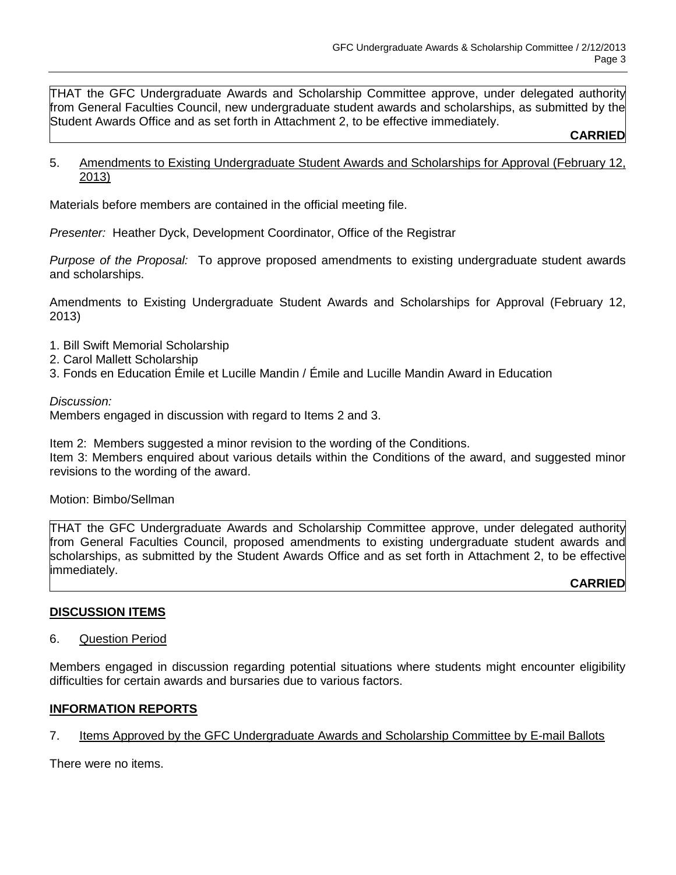THAT the GFC Undergraduate Awards and Scholarship Committee approve, under delegated authority from General Faculties Council, new undergraduate student awards and scholarships, as submitted by the Student Awards Office and as set forth in Attachment 2, to be effective immediately.

#### **CARRIED**

5. Amendments to Existing Undergraduate Student Awards and Scholarships for Approval (February 12, 2013)

Materials before members are contained in the official meeting file.

*Presenter:* Heather Dyck, Development Coordinator, Office of the Registrar

*Purpose of the Proposal:* To approve proposed amendments to existing undergraduate student awards and scholarships.

Amendments to Existing Undergraduate Student Awards and Scholarships for Approval (February 12, 2013)

- 1. Bill Swift Memorial Scholarship
- 2. Carol Mallett Scholarship
- 3. Fonds en Education Émile et Lucille Mandin / Émile and Lucille Mandin Award in Education

#### *Discussion:*

Members engaged in discussion with regard to Items 2 and 3.

Item 2: Members suggested a minor revision to the wording of the Conditions.

Item 3: Members enquired about various details within the Conditions of the award, and suggested minor revisions to the wording of the award.

#### Motion: Bimbo/Sellman

THAT the GFC Undergraduate Awards and Scholarship Committee approve, under delegated authority from General Faculties Council, proposed amendments to existing undergraduate student awards and scholarships, as submitted by the Student Awards Office and as set forth in Attachment 2, to be effective immediately.

**CARRIED**

#### **DISCUSSION ITEMS**

#### 6. Question Period

Members engaged in discussion regarding potential situations where students might encounter eligibility difficulties for certain awards and bursaries due to various factors.

#### **INFORMATION REPORTS**

#### 7. Items Approved by the GFC Undergraduate Awards and Scholarship Committee by E-mail Ballots

There were no items.